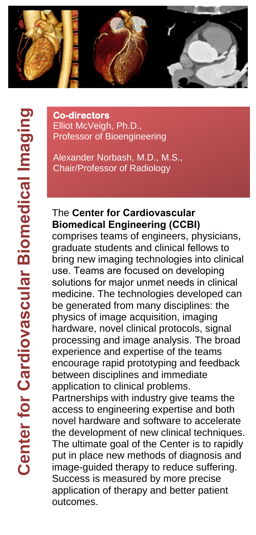

**Co-directors**  Elliot McVeigh, Ph.D., Professor of Bioengineering

Alexander Norbash, M.D., M.S., Chair/Professor of Radiology

## The **Center for Cardiovascular Biomedical Engineering (CCBI)**

comprises teams of engineers, physicians, graduate students and clinical fellows to bring new imaging technologies into clinical use. Teams are focused on developing solutions for major unmet needs in clinical medicine. The technologies developed can be generated from many disciplines: the physics of image acquisition, imaging hardware, novel clinical protocols, signal processing and image analysis. The broad experience and expertise of the teams encourage rapid prototyping and feedback between disciplines and immediate application to clinical problems.

Partnerships with industry give teams the access to engineering expertise and both novel hardware and software to accelerate the development of new clinical techniques. The ultimate goal of the Center is to rapidly put in place new methods of diagnosis and image-guided therapy to reduce suffering. Success is measured by more precise application of therapy and better patient outcomes.